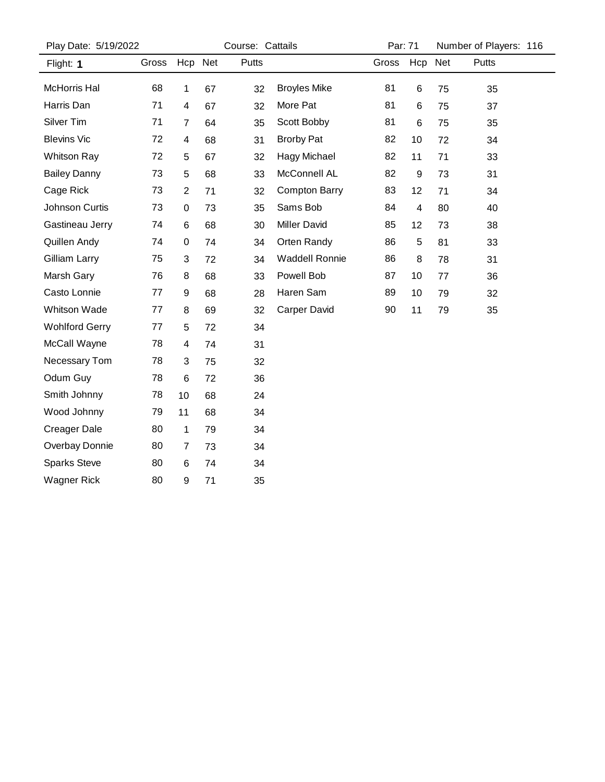| Play Date: 5/19/2022  |       |                         |         | Course: Cattails |                       |       | Par: 71 |     | Number of Players: 116 |  |
|-----------------------|-------|-------------------------|---------|------------------|-----------------------|-------|---------|-----|------------------------|--|
| Flight: 1             | Gross |                         | Hcp Net | Putts            |                       | Gross | Hcp     | Net | Putts                  |  |
| McHorris Hal          | 68    | $\mathbf 1$             | 67      | 32               | <b>Broyles Mike</b>   | 81    | 6       | 75  | 35                     |  |
| Harris Dan            | 71    | $\overline{\mathbf{4}}$ | 67      | 32               | More Pat              | 81    | 6       | 75  | 37                     |  |
| Silver Tim            | 71    | 7                       | 64      | 35               | Scott Bobby           | 81    | 6       | 75  | 35                     |  |
| <b>Blevins Vic</b>    | 72    | 4                       | 68      | 31               | <b>Brorby Pat</b>     | 82    | 10      | 72  | 34                     |  |
| <b>Whitson Ray</b>    | 72    | 5                       | 67      | 32               | Hagy Michael          | 82    | 11      | 71  | 33                     |  |
| <b>Bailey Danny</b>   | 73    | 5                       | 68      | 33               | McConnell AL          | 82    | 9       | 73  | 31                     |  |
| Cage Rick             | 73    | $\boldsymbol{2}$        | 71      | 32               | <b>Compton Barry</b>  | 83    | 12      | 71  | 34                     |  |
| Johnson Curtis        | 73    | 0                       | 73      | 35               | Sams Bob              | 84    | 4       | 80  | 40                     |  |
| Gastineau Jerry       | 74    | $\,6\,$                 | 68      | 30               | <b>Miller David</b>   | 85    | 12      | 73  | 38                     |  |
| Quillen Andy          | 74    | 0                       | 74      | 34               | Orten Randy           | 86    | 5       | 81  | 33                     |  |
| Gilliam Larry         | 75    | 3                       | 72      | 34               | <b>Waddell Ronnie</b> | 86    | 8       | 78  | 31                     |  |
| Marsh Gary            | 76    | 8                       | 68      | 33               | Powell Bob            | 87    | 10      | 77  | 36                     |  |
| Casto Lonnie          | 77    | 9                       | 68      | 28               | Haren Sam             | 89    | 10      | 79  | 32                     |  |
| <b>Whitson Wade</b>   | 77    | 8                       | 69      | 32               | <b>Carper David</b>   | 90    | 11      | 79  | 35                     |  |
| <b>Wohlford Gerry</b> | 77    | 5                       | 72      | 34               |                       |       |         |     |                        |  |
| McCall Wayne          | 78    | 4                       | 74      | 31               |                       |       |         |     |                        |  |
| Necessary Tom         | 78    | 3                       | 75      | 32               |                       |       |         |     |                        |  |
| Odum Guy              | 78    | $\,6$                   | 72      | 36               |                       |       |         |     |                        |  |
| Smith Johnny          | 78    | 10                      | 68      | 24               |                       |       |         |     |                        |  |
| Wood Johnny           | 79    | 11                      | 68      | 34               |                       |       |         |     |                        |  |
| <b>Creager Dale</b>   | 80    | 1                       | 79      | 34               |                       |       |         |     |                        |  |
| Overbay Donnie        | 80    | $\overline{7}$          | 73      | 34               |                       |       |         |     |                        |  |
| <b>Sparks Steve</b>   | 80    | 6                       | 74      | 34               |                       |       |         |     |                        |  |
| <b>Wagner Rick</b>    | 80    | 9                       | 71      | 35               |                       |       |         |     |                        |  |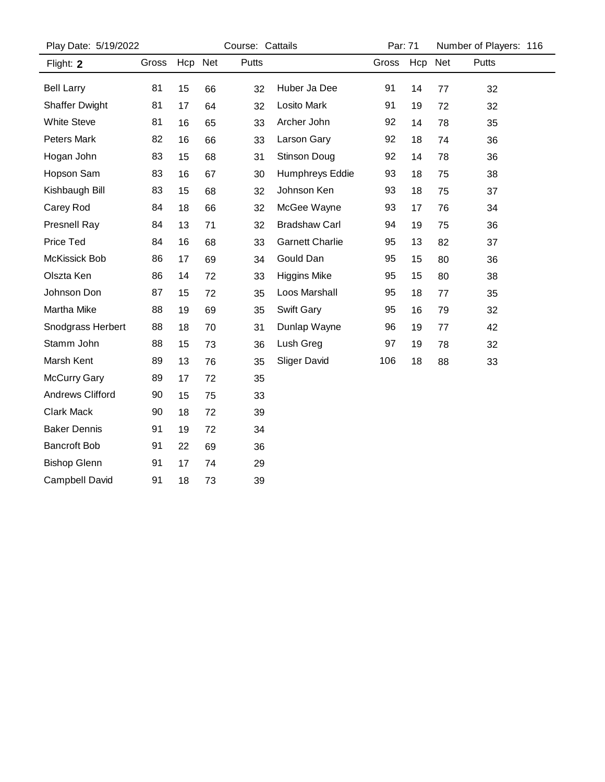| Play Date: 5/19/2022    |       | Course: Cattails |    |       | Par: 71                |       |         | Number of Players: 116 |       |
|-------------------------|-------|------------------|----|-------|------------------------|-------|---------|------------------------|-------|
| Flight: 2               | Gross | Hcp Net          |    | Putts |                        | Gross | Hcp Net |                        | Putts |
| <b>Bell Larry</b>       | 81    | 15               | 66 | 32    | Huber Ja Dee           | 91    | 14      | 77                     | 32    |
| <b>Shaffer Dwight</b>   | 81    | 17               | 64 | 32    | Losito Mark            | 91    | 19      | 72                     | 32    |
| <b>White Steve</b>      | 81    | 16               | 65 | 33    | Archer John            | 92    | 14      | 78                     | 35    |
| <b>Peters Mark</b>      | 82    | 16               | 66 | 33    | Larson Gary            | 92    | 18      | 74                     | 36    |
| Hogan John              | 83    | 15               | 68 | 31    | Stinson Doug           | 92    | 14      | 78                     | 36    |
| Hopson Sam              | 83    | 16               | 67 | 30    | Humphreys Eddie        | 93    | 18      | 75                     | 38    |
| Kishbaugh Bill          | 83    | 15               | 68 | 32    | Johnson Ken            | 93    | 18      | 75                     | 37    |
| Carey Rod               | 84    | 18               | 66 | 32    | McGee Wayne            | 93    | 17      | 76                     | 34    |
| Presnell Ray            | 84    | 13               | 71 | 32    | <b>Bradshaw Carl</b>   | 94    | 19      | 75                     | 36    |
| Price Ted               | 84    | 16               | 68 | 33    | <b>Garnett Charlie</b> | 95    | 13      | 82                     | 37    |
| McKissick Bob           | 86    | 17               | 69 | 34    | Gould Dan              | 95    | 15      | 80                     | 36    |
| Olszta Ken              | 86    | 14               | 72 | 33    | <b>Higgins Mike</b>    | 95    | 15      | 80                     | 38    |
| Johnson Don             | 87    | 15               | 72 | 35    | Loos Marshall          | 95    | 18      | 77                     | 35    |
| Martha Mike             | 88    | 19               | 69 | 35    | Swift Gary             | 95    | 16      | 79                     | 32    |
| Snodgrass Herbert       | 88    | 18               | 70 | 31    | Dunlap Wayne           | 96    | 19      | 77                     | 42    |
| Stamm John              | 88    | 15               | 73 | 36    | Lush Greg              | 97    | 19      | 78                     | 32    |
| Marsh Kent              | 89    | 13               | 76 | 35    | <b>Sliger David</b>    | 106   | 18      | 88                     | 33    |
| <b>McCurry Gary</b>     | 89    | 17               | 72 | 35    |                        |       |         |                        |       |
| <b>Andrews Clifford</b> | 90    | 15               | 75 | 33    |                        |       |         |                        |       |
| <b>Clark Mack</b>       | 90    | 18               | 72 | 39    |                        |       |         |                        |       |
| <b>Baker Dennis</b>     | 91    | 19               | 72 | 34    |                        |       |         |                        |       |
| <b>Bancroft Bob</b>     | 91    | 22               | 69 | 36    |                        |       |         |                        |       |
| <b>Bishop Glenn</b>     | 91    | 17               | 74 | 29    |                        |       |         |                        |       |
| Campbell David          | 91    | 18               | 73 | 39    |                        |       |         |                        |       |
|                         |       |                  |    |       |                        |       |         |                        |       |